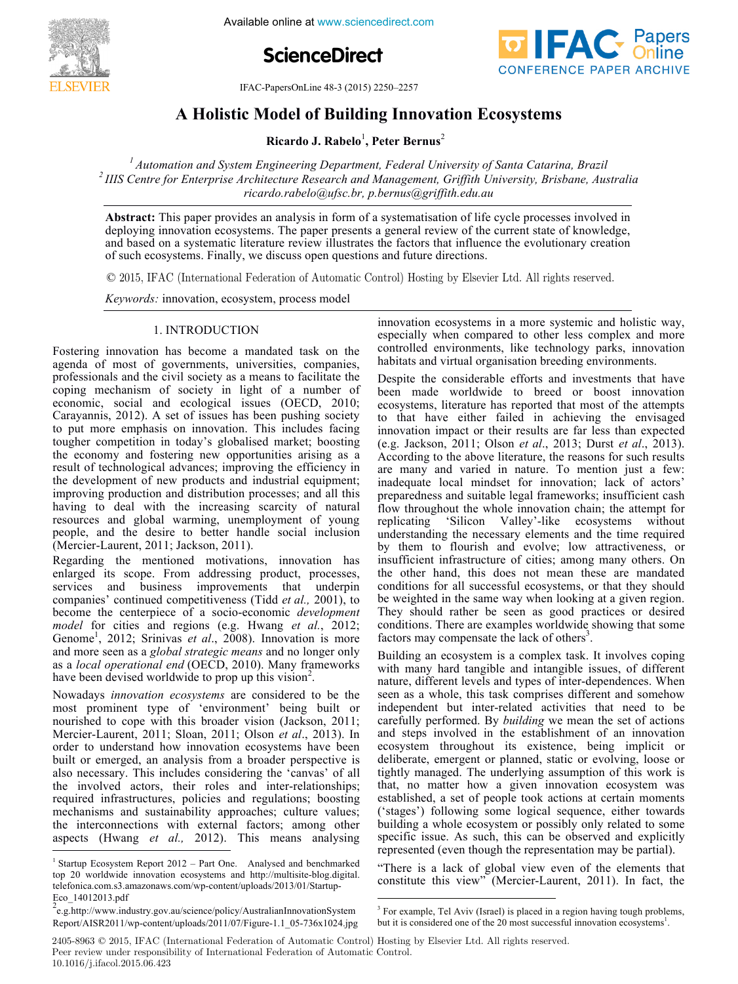

Available online at www.sciencedirect.com





IFAC-PapersOnLine 48-3 (2015) 2250–2257

# **A Holistic Model of Building Innovation Ecosystems A Holistic Model of Building Innovation Ecosystems A Holistic Model of Building Innovation Ecosystems A Holistic Model of Building Innovation Ecosystems**

**Ricardo J. Rabelo**<sup>1</sup> **, Peter Bernus**<sup>2</sup> **Ricardo J. Rabelo**<sup>1</sup> **, Peter Bernus**<sup>2</sup> **A Holistic Model of Building Innovation Ecosystems Ricardo J. Rabelo**<sup>1</sup> **, Peter Bernus**<sup>2</sup> **Ricardo J. Rabelo**<sup>1</sup> **, Peter Bernus**<sup>2</sup> **Ricardo J. Rabelo**<sup>1</sup> **, Peter Bernus**<sup>2</sup>

*1 Automation and System Engineering Department, Federal University of Santa Catarina, Brazil 2 IIIS Centre for Enterprise Architecture Research and Management, Griffith University, Brisbane, Australia*  ricardo.rabelo@ufsc.br, p.bernus@griffith.edu.au <sup>2</sup> IIIS Centre for Enterprise Architecture Research and Management, Griffith University, Brisbane, Australia *ricardo.rabelo@ufsc.br. p.bernus@griffith.edu.au* **rgineering Denartment** Federal Uni <sup>1</sup> Automation and System Engineering Department, Federal University of Santa Catarina, Brazil<br><sup>2</sup> IIIS Centre for Enterprise Architecture Research and Management, Griffith University, Brisbane, Australia<br>ricardo rabelo@u *ricardo.rabelo@ufsc.br, p.bernus@griffith.edu.au* 

**Abstract:** This paper provides an analysis in form of a systematisation of life cycle processes involved in deploying innovation ecosystems. The paper presents a general review of the current state of knowledge, and based on a systematic literature review illustrates the factors that influence the evolutionary creation<br>of such ecosystems. Finally, we discuss open questions and future directions. of such ecosystems. Finally, we discuss open questions and future directions. *ricardo.rabelo@ufsc.br, p.bernus@griffith.edu.au*  **Abstract:** This paper provides an analysis in form of a systematisation of life cycle processes involved in deploying innovation ecosystems. The paper presents a general review of the current state of knowledge, and based **Abstract:** This paper provides an analysis in form of a systematisation of life cycle processes involved in deploying innovation ecosystems. The paper presents a general review of the current state of knowledge, deploying innovation ecosystems. The paper presents a general review of the current state of knowledge, of such ecosystems. Finally, we discuss open questions and future directions.

© 2015, IFAC (International Federation of Automatic Control) Hosting by Elsevier Ltd. All rights reserved. *Keywords:* innovation, ecosystem, process model **C** 2015, IFAC (International Federation of Automatic Control) Hosting by Elsevier Ltd. All rights reserved.<br> *Keywords:* innovation, ecosystem, process model<br>
innovation ecosystems in a more systemic and ho  $\odot$  2015, IFAC (International Federation of Automatic Control) Hosting by Elsevi

*Keywords:* innovation, ecosystem, process model

#### 1. INTRODUCTION 1. INTRODUCTION 1. INTRODUCTION 1. INTRODUCTION

Fostering innovation has become a mandated task on the 1. INTRODUCTION<br>Fostering innovation has become a mandated task on the Fostering innovation has become a mandated task on the agenda of most of governments, universities, companies, agenda of most of governments, universities, companies, professionals and the civil society as a means to facilitate the coping mechanism of society in light of a number of economic, social and ecological issues (OECD, 2010; economic, social and ecological issues (OECD, 2010; Carayannis, 2012). A set of issues has been pushing society carayanins, 2012). A set of issues has been pushing society<br>to put more emphasis on innovation. This includes facing Carayannis, 2012). A set of issues has been pushing society<br>to put more emphasis on innovation. This includes facing<br>tougher competition in today's globalised market; boosting the economy and fostering new opportunities arising as a result of technological advances; improving the efficiency in result of technological advances, improving the efficiency in<br>the development of new products and industrial equipment;<br>improving production and distribution processes; and all this improving production and distribution processes; and all this improving production and distribution processes; and all this having to deal with the increasing scarcity of natural resources and global warming, unemployment of young people, and the desire to better handle social inclusion (Mercier-Laurent, 2011; Jackson, 2011). Regarding the mentioned motivations, innovation has (Mercier-Laurent, 2011; Jackson, 2011). (Mercier-Laurent, 2011; Jackson, 2011). (Mercier-Laurent, 2011; Jackson, 2011). coping mechanism of society in light of a number of<br>economic, social and ecological issues (OECD, 2010;<br>Carayannis, 2012). A set of issues has been pushing society<br>to put more emphasis on innovation. This includes facing<br>t **INFORMATION CONTROL**<br> **INFORMATION CONTROL CONTROL CONTROL CONTROL**<br> **INFORMATION CONTROL CONTROL**<br> **INFORMATION CONTROL**<br> **INFORMATION CONTROL**<br> **INFORMATION CONTROL**<br> **INFORMATION**<br> **INFORMATION CONTROL**<br> **INSECTING CON** the economy and fostering new opportunities arising as a result of technological advances; improving the efficiency in **Copyright Copyright Copyright Copyright Copyright Copyright Copyright Copyright Copyright Copyright Copyright Copyright Copyright Copyright Copyright Copyright Copyright Copyright Copyright Copyright Copyright Copyright** professionals and the civil society as a means to facilitate the coping mechanism of society in light of a number of resources and global warming, unemployment of young people, and the desire to better handle social inclusion

Regarding the mentioned motivations, innovation has enlarged its scope. From addressing product, processes, enlarged its scope. From addressing product, processes, services and business improvements that underpin companies' continued competitiveness (Tidd *et al.*, 2001), to companies' continued competitiveness (Tidd *et al.*, 2001), to become the centerpiece of a socio-economic *development* become the centerpiece of a socio-economic *development*<br>model for cities and regions (e.g. Hwang *et al.*, 2012; Genome<sup>1</sup>, 2012; Srinivas *et al.*, 2008). Innovation is more Genome', 2012; Srinivas *et al.*, 2008). Innovation is more and more seen as a *global strategic means* and no longer only and more seen as a *global strategic means* and no longer only<br>as a *local operational end* (OECD, 2010). Many frameworks as a *local operational end* (OECD, 2010). Many frameworks<br>have been devised worldwide to prop up this vision<sup>2</sup>. people, and the desire to better handle social inclusion<br>(Mercier-Laurent, 2011; Jackson, 2011).<br>Regarding the mentioned motivations, innovation has<br>enlarged its scope. From addressing product, processes,<br>services and busi model for cities and regions (e.g. Hwang *et al.*, 2012;<br>Genome<sup>1</sup>, 2012; Srinivas *et al.*, 2008). Innovation is more<br>and more seen as a *global strategic means* and no longer only<br>as a *local operational end* (OECD, 201 (Mercler-Laurent, 2011; Jackson, 2011).<br>Regarding the mentioned motivations, innovation has moaet 10<br>Genome<sup>1</sup> and more seen as a *global strategic means* and no longer only

Nowadays *innovation ecosystems* are considered to be the Nowadays *innovation ecosystems* are considered to be the most prominent type of 'environment' being built or nourished to cope with this broader vision (Jackson, 2011;<br>Mercier-Laurent, 2011; Sloan, 2011; Olson et al., 2013). In nourished to cope with this broader vision (Jackson, 2011;<br>Mercier-Laurent, 2011; Sloan, 2011; Olson *et al.*, 2013). In Mercier-Laurent, 2011; Sloan, 2011; Olson *et al.*, 2013). In order to understand how innovation ecosystems have been order to understand how innovation ecosystems have been<br>built or emerged, an analysis from a broader perspective is order to understand how innovation ecosystems have been<br>built or emerged, an analysis from a broader perspective is<br>also necessary. This includes considering the 'canvas' of all the involved actors, their roles and inter-relationships; also necessary. This includes considering the 'canvas' of all<br>the involved actors, their roles and inter-relationships;<br>required infrastructures, policies and regulations; boosting required imaginatednes, policies and regulations, boosting<br>mechanisms and sustainability approaches; culture values; mechanisms and sustainability approaches; culture values;<br>the interconnections with external factors; among other mechanisms and sustainability approaches; culture values;<br>the interconnections with external factors; among other<br>aspects (Hwang *et al.*, 2012). This means analysing Nowadays *innovation ecosystems* are considered to be the most prominent type of 'environment' being built or nourished to cope with this broader vision (Jackson, 2011; aspects (Hwang *et al.,* 2012). This means analysing aspects (Hwang *et al.,* 2012). This means analysing most prominent type of environment being built of

innovation ecosystemic and holistic way, and holistic way, and holistic way, and holistic way, and holistic wa<br>In and holistic way, and holistic way, and holistic way, and holistic way, and holistic way, and holistic way, innovation ecosystems in a more systemic and holistic way, especially when compared to other less complex and more innovation ecosystems in a more systemic and holistic way,<br>especially when compared to other less complex and more<br>controlled environments, like technology parks, innovation habitats and virtual organisation breeding environments. controlled environments, like technology parks, innovation habitats and virtual organisation breeding environments. innovation ecosystems in a more systemic and holistic way, innovation ecosystems in a more systemic and holistic way, controlled environments, like technology parks, innovation controlled environments, like technology parks, innovation

Despite the considerable efforts and investments that have Despite the considerable efforts and investments that have<br>been made worldwide to breed or boost innovation been made worldwide to breed or boost innovation<br>ecosystems, literature has reported that most of the attempts to that have either failed in achieving the envisaged to that have either failed in achieving the envisaged<br>innovation impact or their results are far less than expected (e.g. Jackson, 2011; Olson *et al.*, 2013; Durst *et al.*, 2013).<br>According to the above literature, the reasons for such results According to the above literature, the reasons for such results According to the above inerature, the reasons for such results are many and varied in nature. To mention just a few: are many and varied in nature. To mention just a few:<br>inadequate local mindset for innovation; lack of actors' preparedness and suitable legal frameworks; insufficient cash<br>flow throughout the whole innovation chain; the attempt for preparentess and statator regar frameworks, insurfacent easily<br>flow throughout the whole innovation chain; the attempt for replicating 'Silicon Valley'-like ecosystems without understanding the necessary elements and the time required<br>by them to flourish and evolve; low attractiveness, or understanding the necessary elements and the time required<br>by them to flourish and evolve; low attractiveness, or insufficient infrastructure of cities; among many others. On insufficient infrastructure of cities; among many others. On<br>the other hand, this does not mean these are mandated conditions for all successful ecosystems, or that they should conditions for all successful ecosystems, or that they should<br>be weighted in the same way when looking at a given region. be weighted in the same way when looking at a given region.<br>They should rather be seen as good practices or desired They should rather be seen as good practices or desired<br>conditions. There are examples worldwide showing that some<br>factors may compensate the lack of others<sup>3</sup>. conditions. There are examples worldwide showing that some factors may compensate the lack of others<sup>3</sup>. A Holistic Model of Building Innovation Ecosystems<br>
1. Haromation mai System at Haromatic milion control is the correspondence of the control is the control in the control interaction of the control interaction of the con ecosystems, literature has reported that most of the attempts<br>to that have either failed in achieving the envisaged<br>innovation impact or their results are far less than expected<br>(e.g. Jackson, 2011; Olson *et al.*, 2013; D are many and varied in nature. To mention just a few:<br>inadequate local mindset for innovation; lack of actors'<br>preparedness and suitable legal frameworks; insufficient cash<br>flow throughout the whole innovation chain; the a been made worldwide to breed or boost innovation been made worldwide to breed or boost innovation (e.g. Jackson, 2011; Olson *et al.*, 2013; Durst *et al.*, 2013).<br>According to the above literature, the reasons for such results<br>are many and varied in nature. To mention just a few: inadequate local mindset for innovation; lack of actors'<br>preparedness and suitable legal frameworks; insufficient cash to that have either failed in achieving the envisaged to that have either failed in achieving the envisaged conditions. There are examples worldwide<br>factors may compensate the lack of others<sup>3</sup>

Building an ecosystem is a complex task. It involves coping with many hard tangible and intangible issues, of different with many hard tanglote and manglote issues, or unferent<br>nature, different levels and types of inter-dependences. When<br>seen as a whole, this task comprises different and somehow seen as a whole, this task comprises different and somehow nature, different levels and types of inter-dependences. When<br>seen as a whole, this task comprises different and somehow<br>independent but inter-related activities that need to be independent but inter-related activities that need to be carefully performed. By *building* we mean the set of actions and steps involved in the establishment of an innovation ecosystem throughout its existence, being implicit or deliberate, emergent or planned, static or evolving, loose or definerate, emergent of planned, static of evolving, loose of<br>tightly managed. The underlying assumption of this work is tightly managed. The underlying assumption of this work is that, no matter how a given innovation ecosystem was established, a set of people took actions at certain moments established, a set of people took actions at certain moments ('stages') following some logical sequence, either towards building a whole ecosystem or possibly only related to some building a whole ecosystem or possibly only related to some specific issue. As such, this can be observed and explicitly represented (even though the representation may be partial). conditions. There are examples worldwide showing that some factors may compensate the lack of others<sup>3</sup>.<br>Building an ecosystem is a complex task. It involves coping with many hard tangible and intangible issues, of differe independent but inter-related activities that need to be<br>carefully performed. By *building* we mean the set of actions<br>and steps involved in the establishment of an innovation<br>ecosystem throughout its existence, being impl Building an ecosystem is a complex task. It involves coping<br>with many hard tangible and intangible issues, of different and steps involved in the establishment of an innovation ecosystem throughout its existence, being implicit or carefully performed. By *building* we mean the set of actions and steps involved in the establishment of an innovation bunding a whole ecosystem of possibly only related to some specific issue. As such, this can be observed and explicitly

"There is a lack of global view even of the elements that "There is a lack of global view even of the elements that<br>constitute this view" (Mercier-Laurent, 2011). In fact, the constitute this view" (Mercier-Laurent, 2011). In fact, the constitute this view" (Mercier-Laurent, 2011). In fact, the

 $2405-8963 \oplus 2015$ , IFAC (International Federation of Automatic Control) Hosting by Elsevier Ltd. All rights reserved. Peer review under responsibility of International Federation of Automatic Control, Insting<br>Peer review under responsibility of International Federation of Automatic Control. 10.1016/j.ifacol.2015.06.423  $R_{\text{F}}$  and  $R_{\text{F}}$  is the step content of the  $\sigma$ 

-

<sup>&</sup>lt;sup>1</sup> Startup Ecosystem Report 2012 – Part One. Analysed and benchmarked top 20 worldwide innovation ecosystems and http://multisite-blog.digital. telefonica.com.s3.amazonaws.com/wp-content/uploads/2013/01/Startup- $\frac{1}{20}$  worldwide innovation ecosystems and http://multisite-blog.digital.<br>telefonica.com.s3.amazonaws.com/wp-content/uploads/2013/01/Startup-<sup>1</sup> Startup Ecosystem Report 2012 – Part One. Analysed and benchmarked top 20 worldwide innovation ecosystems and http://multisite-blog.digital.<br>telefonica.com.s3.amazonaws.com/wp-content/uploads/2013/01/Startup- $E_{\rm CO}$  14012013.pdf  $\frac{1}{1}$  1 1 Startup Ecosystem Report 2012 – Part One. Analysed and benchmarked

Eco\_14012013.pdf<br>  ${}^{2}$ e.g.http://www.industry.gov.au/science/policy/AustralianInnovationSystem Report/AISR2011/wp-content/uploads/2011/07/Figure-1.1\_05-736x1024.jpg

<sup>&</sup>lt;sup>3</sup> For example, Tel Aviv (Israel) is placed in a region having tough problems, but it is considered one of the 20 most successful innovation ecosystems<sup>1</sup>. <sup>3</sup> For example, Tel Aviv (Israel) is placed in a region having tough problems, but it is considered one of the 20 most successful innovation ecosystems<sup>1</sup>. <sup>3</sup> For example, Tel Aviv (Israel) is placed in a region having tough problems, 3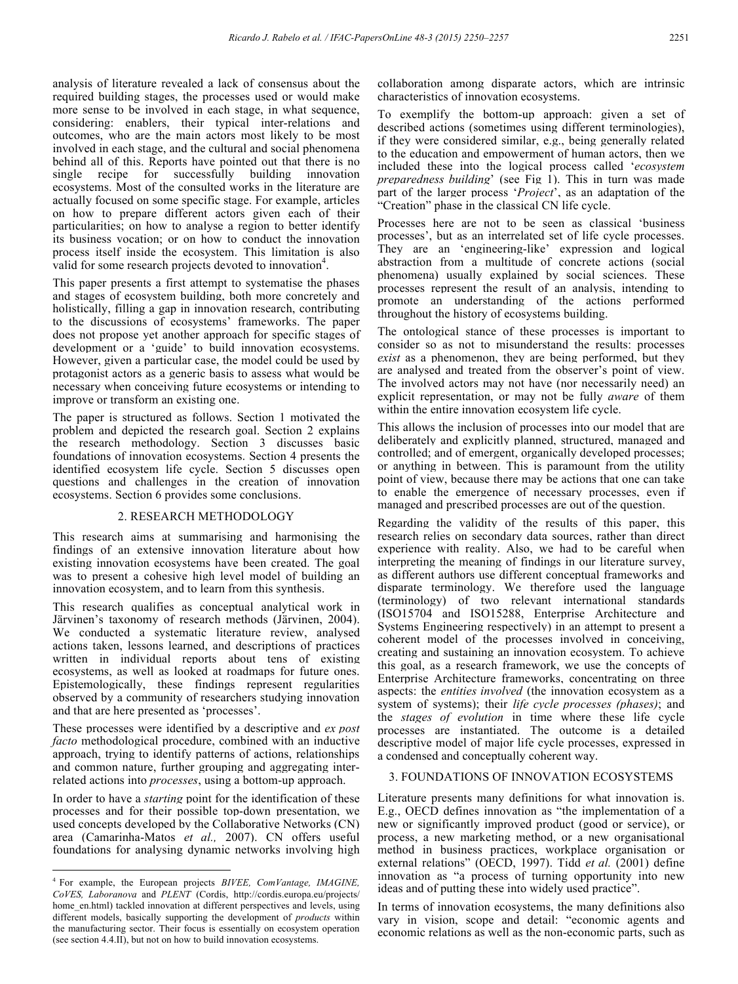analysis of literature revealed a lack of consensus about the required building stages, the processes used or would make more sense to be involved in each stage, in what sequence, considering: enablers, their typical inter-relations and outcomes, who are the main actors most likely to be most involved in each stage, and the cultural and social phenomena behind all of this. Reports have pointed out that there is no single recipe for successfully building innovation ecosystems. Most of the consulted works in the literature are actually focused on some specific stage. For example, articles on how to prepare different actors given each of their particularities; on how to analyse a region to better identify its business vocation; or on how to conduct the innovation process itself inside the ecosystem. This limitation is also valid for some research projects devoted to innovation<sup>4</sup>.

This paper presents a first attempt to systematise the phases and stages of ecosystem building, both more concretely and holistically, filling a gap in innovation research, contributing to the discussions of ecosystems' frameworks. The paper does not propose yet another approach for specific stages of development or a 'guide' to build innovation ecosystems. However, given a particular case, the model could be used by protagonist actors as a generic basis to assess what would be necessary when conceiving future ecosystems or intending to improve or transform an existing one.

The paper is structured as follows. Section 1 motivated the problem and depicted the research goal. Section 2 explains the research methodology. Section 3 discusses basic foundations of innovation ecosystems. Section 4 presents the identified ecosystem life cycle. Section 5 discusses open questions and challenges in the creation of innovation ecosystems. Section 6 provides some conclusions.

# 2. RESEARCH METHODOLOGY

This research aims at summarising and harmonising the findings of an extensive innovation literature about how existing innovation ecosystems have been created. The goal was to present a cohesive high level model of building an innovation ecosystem, and to learn from this synthesis.

This research qualifies as conceptual analytical work in Järvinen's taxonomy of research methods (Järvinen, 2004). We conducted a systematic literature review, analysed actions taken, lessons learned, and descriptions of practices written in individual reports about tens of existing ecosystems, as well as looked at roadmaps for future ones. Epistemologically, these findings represent regularities observed by a community of researchers studying innovation and that are here presented as 'processes'.

These processes were identified by a descriptive and *ex post facto* methodological procedure, combined with an inductive approach, trying to identify patterns of actions, relationships and common nature, further grouping and aggregating interrelated actions into *processes*, using a bottom-up approach.

In order to have a *starting* point for the identification of these processes and for their possible top-down presentation, we used concepts developed by the Collaborative Networks (CN) area (Camarinha-Matos *et al.,* 2007). CN offers useful foundations for analysing dynamic networks involving high

 $\overline{a}$ 

collaboration among disparate actors, which are intrinsic characteristics of innovation ecosystems.

To exemplify the bottom-up approach: given a set of described actions (sometimes using different terminologies), if they were considered similar, e.g., being generally related to the education and empowerment of human actors, then we included these into the logical process called '*ecosystem preparedness building*' (see Fig 1). This in turn was made part of the larger process '*Project*', as an adaptation of the "Creation" phase in the classical CN life cycle.

Processes here are not to be seen as classical 'business processes', but as an interrelated set of life cycle processes. They are an 'engineering-like' expression and logical abstraction from a multitude of concrete actions (social phenomena) usually explained by social sciences. These processes represent the result of an analysis, intending to promote an understanding of the actions performed throughout the history of ecosystems building.

The ontological stance of these processes is important to consider so as not to misunderstand the results: processes *exist* as a phenomenon, they are being performed, but they are analysed and treated from the observer's point of view. The involved actors may not have (nor necessarily need) an explicit representation, or may not be fully *aware* of them within the entire innovation ecosystem life cycle.

This allows the inclusion of processes into our model that are deliberately and explicitly planned, structured, managed and controlled; and of emergent, organically developed processes; or anything in between. This is paramount from the utility point of view, because there may be actions that one can take to enable the emergence of necessary processes, even if managed and prescribed processes are out of the question.

Regarding the validity of the results of this paper, this research relies on secondary data sources, rather than direct experience with reality. Also, we had to be careful when interpreting the meaning of findings in our literature survey, as different authors use different conceptual frameworks and disparate terminology. We therefore used the language (terminology) of two relevant international standards (ISO15704 and ISO15288, Enterprise Architecture and Systems Engineering respectively) in an attempt to present a coherent model of the processes involved in conceiving, creating and sustaining an innovation ecosystem. To achieve this goal, as a research framework, we use the concepts of Enterprise Architecture frameworks, concentrating on three aspects: the *entities involved* (the innovation ecosystem as a system of systems); their *life cycle processes (phases)*; and the *stages of evolution* in time where these life cycle processes are instantiated. The outcome is a detailed descriptive model of major life cycle processes, expressed in a condensed and conceptually coherent way.

# 3. FOUNDATIONS OF INNOVATION ECOSYSTEMS

Literature presents many definitions for what innovation is. E.g., OECD defines innovation as "the implementation of a new or significantly improved product (good or service), or process, a new marketing method, or a new organisational method in business practices, workplace organisation or external relations" (OECD, 1997). Tidd *et al.* (2001) define innovation as "a process of turning opportunity into new ideas and of putting these into widely used practice".

In terms of innovation ecosystems, the many definitions also vary in vision, scope and detail: "economic agents and economic relations as well as the non-economic parts, such as

<sup>4</sup> For example, the European projects *BIVEE, ComVantage, IMAGINE, CoVES, Laboranova* and *PLENT* (Cordis, http://cordis.europa.eu/projects/ home\_en.html) tackled innovation at different perspectives and levels, using different models, basically supporting the development of *products* within the manufacturing sector. Their focus is essentially on ecosystem operation (see section 4.4.II), but not on how to build innovation ecosystems.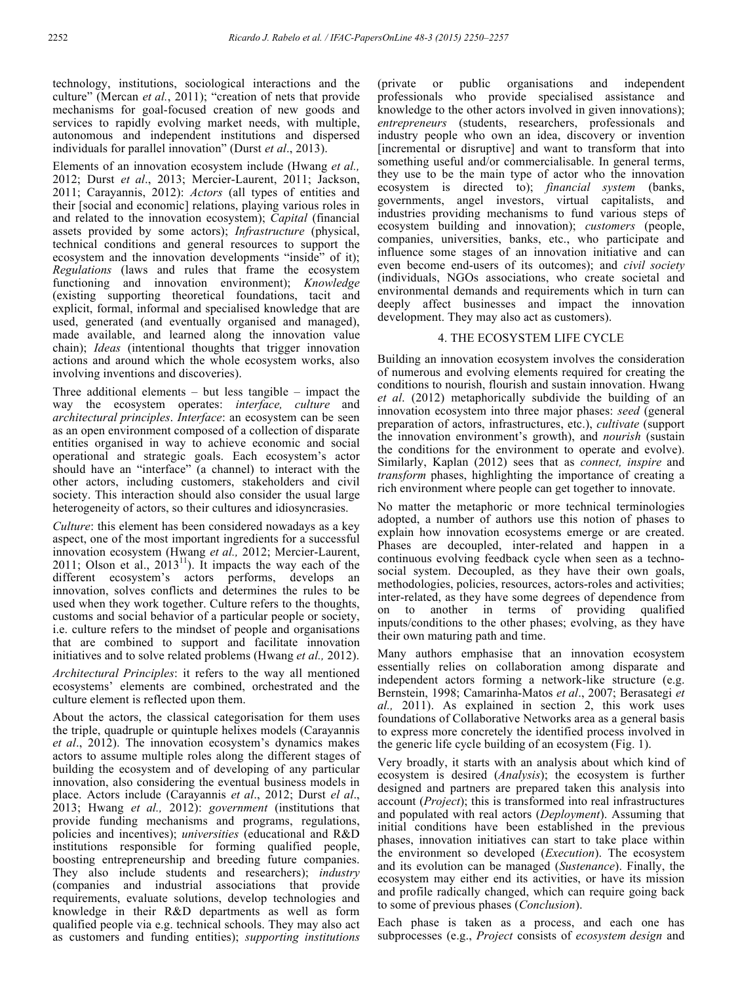technology, institutions, sociological interactions and the culture" (Mercan *et al.*, 2011); "creation of nets that provide mechanisms for goal-focused creation of new goods and services to rapidly evolving market needs, with multiple, autonomous and independent institutions and dispersed individuals for parallel innovation" (Durst *et al*., 2013).

Elements of an innovation ecosystem include (Hwang *et al.,* 2012; Durst *et al*., 2013; Mercier-Laurent, 2011; Jackson, 2011; Carayannis, 2012): *Actors* (all types of entities and their [social and economic] relations, playing various roles in and related to the innovation ecosystem); *Capital* (financial assets provided by some actors); *Infrastructure* (physical, technical conditions and general resources to support the ecosystem and the innovation developments "inside" of it); *Regulations* (laws and rules that frame the ecosystem functioning and innovation environment); *Knowledge* (existing supporting theoretical foundations, tacit and explicit, formal, informal and specialised knowledge that are used, generated (and eventually organised and managed), made available, and learned along the innovation value chain); *Ideas* (intentional thoughts that trigger innovation actions and around which the whole ecosystem works, also involving inventions and discoveries).

Three additional elements – but less tangible – impact the way the ecosystem operates: *interface, culture* and *architectural principles*. *Interface*: an ecosystem can be seen as an open environment composed of a collection of disparate entities organised in way to achieve economic and social operational and strategic goals. Each ecosystem's actor should have an "interface" (a channel) to interact with the other actors, including customers, stakeholders and civil society. This interaction should also consider the usual large heterogeneity of actors, so their cultures and idiosyncrasies.

*Culture*: this element has been considered nowadays as a key aspect, one of the most important ingredients for a successful innovation ecosystem (Hwang *et al.,* 2012; Mercier-Laurent, 2011; Olson et al.,  $2013^{11}$ ). It impacts the way each of the different ecosystem's actors performs, develops an innovation, solves conflicts and determines the rules to be used when they work together. Culture refers to the thoughts, customs and social behavior of a particular people or society, i.e. culture refers to the mindset of people and organisations that are combined to support and facilitate innovation initiatives and to solve related problems (Hwang *et al.,* 2012).

*Architectural Principles*: it refers to the way all mentioned ecosystems' elements are combined, orchestrated and the culture element is reflected upon them.

About the actors, the classical categorisation for them uses the triple, quadruple or quintuple helixes models (Carayannis *et al*., 2012). The innovation ecosystem's dynamics makes actors to assume multiple roles along the different stages of building the ecosystem and of developing of any particular innovation, also considering the eventual business models in place. Actors include (Carayannis *et al*., 2012; Durst *el al*., 2013; Hwang *et al.,* 2012): *government* (institutions that provide funding mechanisms and programs, regulations, policies and incentives); *universities* (educational and R&D institutions responsible for forming qualified people, boosting entrepreneurship and breeding future companies. They also include students and researchers); *industry* (companies and industrial associations that provide requirements, evaluate solutions, develop technologies and knowledge in their R&D departments as well as form qualified people via e.g. technical schools. They may also act as customers and funding entities); *supporting institutions*

(private or public organisations and independent professionals who provide specialised assistance and knowledge to the other actors involved in given innovations); *entrepreneurs* (students, researchers, professionals and industry people who own an idea, discovery or invention [incremental or disruptive] and want to transform that into something useful and/or commercialisable. In general terms, they use to be the main type of actor who the innovation ecosystem is directed to); *financial system* (banks, governments, angel investors, virtual capitalists, and industries providing mechanisms to fund various steps of ecosystem building and innovation); *customers* (people, companies, universities, banks, etc., who participate and influence some stages of an innovation initiative and can even become end-users of its outcomes); and *civil society* (individuals, NGOs associations, who create societal and environmental demands and requirements which in turn can deeply affect businesses and impact the innovation development. They may also act as customers).

# 4. THE ECOSYSTEM LIFE CYCLE

Building an innovation ecosystem involves the consideration of numerous and evolving elements required for creating the conditions to nourish, flourish and sustain innovation. Hwang *et al*. (2012) metaphorically subdivide the building of an innovation ecosystem into three major phases: *seed* (general preparation of actors, infrastructures, etc.), *cultivate* (support the innovation environment's growth), and *nourish* (sustain the conditions for the environment to operate and evolve). Similarly, Kaplan (2012) sees that as *connect, inspire* and *transform* phases, highlighting the importance of creating a rich environment where people can get together to innovate.

No matter the metaphoric or more technical terminologies adopted, a number of authors use this notion of phases to explain how innovation ecosystems emerge or are created. Phases are decoupled, inter-related and happen in a continuous evolving feedback cycle when seen as a technosocial system. Decoupled, as they have their own goals, methodologies, policies, resources, actors-roles and activities; inter-related, as they have some degrees of dependence from on to another in terms of providing qualified inputs/conditions to the other phases; evolving, as they have their own maturing path and time.

Many authors emphasise that an innovation ecosystem essentially relies on collaboration among disparate and independent actors forming a network-like structure (e.g. Bernstein, 1998; Camarinha-Matos *et al*., 2007; Berasategi *et al.,* 2011). As explained in section 2, this work uses foundations of Collaborative Networks area as a general basis to express more concretely the identified process involved in the generic life cycle building of an ecosystem (Fig. 1).

Very broadly, it starts with an analysis about which kind of ecosystem is desired (*Analysis*); the ecosystem is further designed and partners are prepared taken this analysis into account (*Project*); this is transformed into real infrastructures and populated with real actors (*Deployment*). Assuming that initial conditions have been established in the previous phases, innovation initiatives can start to take place within the environment so developed (*Execution*). The ecosystem and its evolution can be managed (*Sustenance*). Finally, the ecosystem may either end its activities, or have its mission and profile radically changed, which can require going back to some of previous phases (*Conclusion*).

Each phase is taken as a process, and each one has subprocesses (e.g., *Project* consists of *ecosystem design* and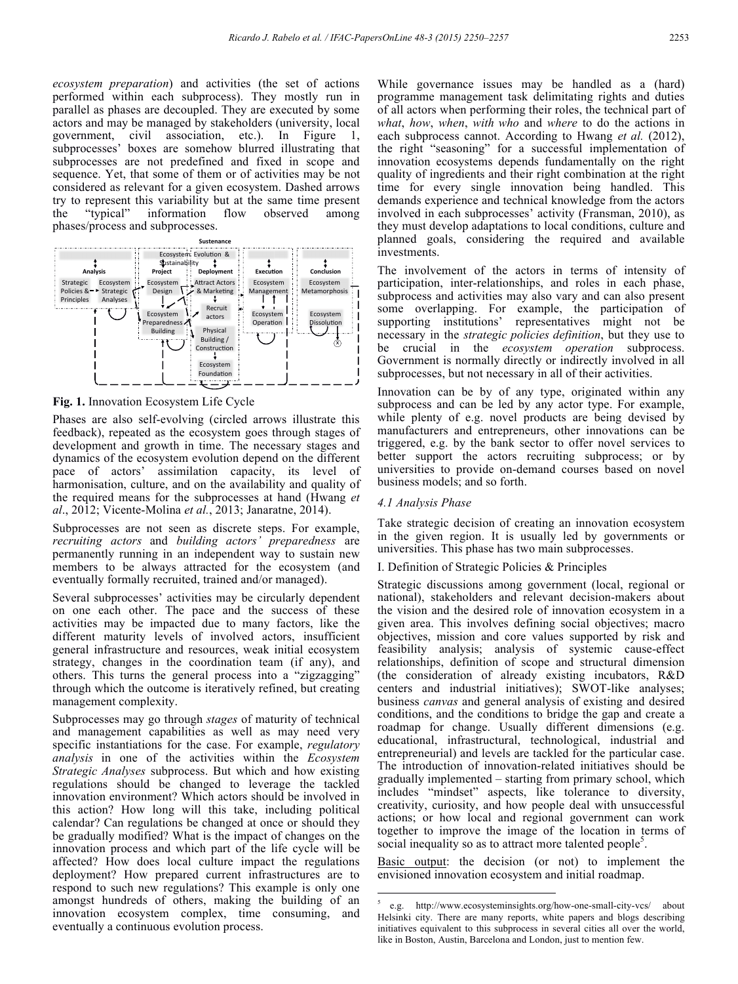*ecosystem preparation*) and activities (the set of actions performed within each subprocess). They mostly run in parallel as phases are decoupled. They are executed by some actors and may be managed by stakeholders (university, local government, civil association, etc.). In Figure 1, subprocesses' boxes are somehow blurred illustrating that subprocesses are not predefined and fixed in scope and sequence. Yet, that some of them or of activities may be not considered as relevant for a given ecosystem. Dashed arrows try to represent this variability but at the same time present<br>the "typical" information flow observed among the "typical" information flow observed phases/process and subprocesses.



**Fig. 1.** Innovation Ecosystem Life Cycle

Phases are also self-evolving (circled arrows illustrate this feedback), repeated as the ecosystem goes through stages of development and growth in time. The necessary stages and dynamics of the ecosystem evolution depend on the different pace of actors' assimilation capacity, its level of harmonisation, culture, and on the availability and quality of the required means for the subprocesses at hand (Hwang *et al*., 2012; Vicente-Molina *et al.*, 2013; Janaratne, 2014).

Subprocesses are not seen as discrete steps. For example, *recruiting actors* and *building actors' preparedness* are permanently running in an independent way to sustain new members to be always attracted for the ecosystem (and eventually formally recruited, trained and/or managed).

Several subprocesses' activities may be circularly dependent on one each other. The pace and the success of these activities may be impacted due to many factors, like the different maturity levels of involved actors, insufficient general infrastructure and resources, weak initial ecosystem strategy, changes in the coordination team (if any), and others. This turns the general process into a "zigzagging" through which the outcome is iteratively refined, but creating management complexity.

Subprocesses may go through *stages* of maturity of technical and management capabilities as well as may need very specific instantiations for the case. For example, *regulatory analysis* in one of the activities within the *Ecosystem Strategic Analyses* subprocess. But which and how existing regulations should be changed to leverage the tackled innovation environment? Which actors should be involved in this action? How long will this take, including political calendar? Can regulations be changed at once or should they be gradually modified? What is the impact of changes on the innovation process and which part of the life cycle will be affected? How does local culture impact the regulations deployment? How prepared current infrastructures are to respond to such new regulations? This example is only one amongst hundreds of others, making the building of an innovation ecosystem complex, time consuming, and eventually a continuous evolution process.

While governance issues may be handled as a (hard) programme management task delimitating rights and duties of all actors when performing their roles, the technical part of *what*, *how*, *when*, *with who* and *where* to do the actions in each subprocess cannot. According to Hwang *et al.* (2012), the right "seasoning" for a successful implementation of innovation ecosystems depends fundamentally on the right quality of ingredients and their right combination at the right time for every single innovation being handled. This demands experience and technical knowledge from the actors involved in each subprocesses' activity (Fransman, 2010), as they must develop adaptations to local conditions, culture and planned goals, considering the required and available investments.

The involvement of the actors in terms of intensity of participation, inter-relationships, and roles in each phase, subprocess and activities may also vary and can also present some overlapping. For example, the participation of supporting institutions' representatives might not be necessary in the *strategic policies definition*, but they use to be crucial in the *ecosystem operation* subprocess. Government is normally directly or indirectly involved in all subprocesses, but not necessary in all of their activities.

Innovation can be by of any type, originated within any subprocess and can be led by any actor type. For example, while plenty of e.g. novel products are being devised by manufacturers and entrepreneurs, other innovations can be triggered, e.g. by the bank sector to offer novel services to better support the actors recruiting subprocess; or by universities to provide on-demand courses based on novel business models; and so forth.

#### *4.1 Analysis Phase*

-

Take strategic decision of creating an innovation ecosystem in the given region. It is usually led by governments or universities. This phase has two main subprocesses.

#### I. Definition of Strategic Policies & Principles

Strategic discussions among government (local, regional or national), stakeholders and relevant decision-makers about the vision and the desired role of innovation ecosystem in a given area. This involves defining social objectives; macro objectives, mission and core values supported by risk and feasibility analysis; analysis of systemic cause-effect relationships, definition of scope and structural dimension (the consideration of already existing incubators, R&D centers and industrial initiatives); SWOT-like analyses; business *canvas* and general analysis of existing and desired conditions, and the conditions to bridge the gap and create a roadmap for change. Usually different dimensions (e.g. educational, infrastructural, technological, industrial and entrepreneurial) and levels are tackled for the particular case. The introduction of innovation-related initiatives should be gradually implemented – starting from primary school, which includes "mindset" aspects, like tolerance to diversity, creativity, curiosity, and how people deal with unsuccessful actions; or how local and regional government can work together to improve the image of the location in terms of social inequality so as to attract more talented people<sup>5</sup>.

Basic output: the decision (or not) to implement the envisioned innovation ecosystem and initial roadmap.

<sup>5</sup> e.g. http://www.ecosysteminsights.org/how-one-small-city-vcs/ about Helsinki city. There are many reports, white papers and blogs describing initiatives equivalent to this subprocess in several cities all over the world, like in Boston, Austin, Barcelona and London, just to mention few.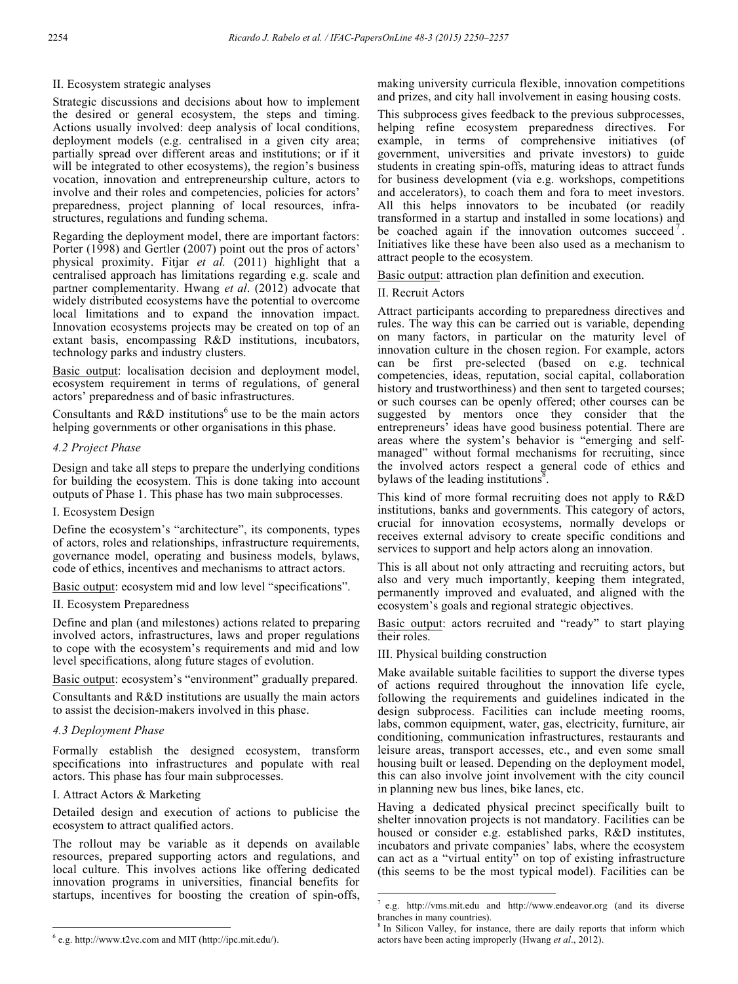# II. Ecosystem strategic analyses

Strategic discussions and decisions about how to implement the desired or general ecosystem, the steps and timing. Actions usually involved: deep analysis of local conditions, deployment models (e.g. centralised in a given city area; partially spread over different areas and institutions; or if it will be integrated to other ecosystems), the region's business vocation, innovation and entrepreneurship culture, actors to involve and their roles and competencies, policies for actors' preparedness, project planning of local resources, infrastructures, regulations and funding schema.

Regarding the deployment model, there are important factors: Porter (1998) and Gertler (2007) point out the pros of actors' physical proximity. Fitjar *et al.* (2011) highlight that a centralised approach has limitations regarding e.g. scale and partner complementarity. Hwang *et al*. (2012) advocate that widely distributed ecosystems have the potential to overcome local limitations and to expand the innovation impact. Innovation ecosystems projects may be created on top of an extant basis, encompassing R&D institutions, incubators, technology parks and industry clusters.

Basic output: localisation decision and deployment model, ecosystem requirement in terms of regulations, of general actors' preparedness and of basic infrastructures.

Consultants and R&D institutions<sup>6</sup> use to be the main actors helping governments or other organisations in this phase.

# *4.2 Project Phase*

Design and take all steps to prepare the underlying conditions for building the ecosystem. This is done taking into account outputs of Phase 1. This phase has two main subprocesses.

# I. Ecosystem Design

Define the ecosystem's "architecture", its components, types of actors, roles and relationships, infrastructure requirements, governance model, operating and business models, bylaws, code of ethics, incentives and mechanisms to attract actors.

Basic output: ecosystem mid and low level "specifications".

# II. Ecosystem Preparedness

Define and plan (and milestones) actions related to preparing involved actors, infrastructures, laws and proper regulations to cope with the ecosystem's requirements and mid and low level specifications, along future stages of evolution.

Basic output: ecosystem's "environment" gradually prepared.

Consultants and R&D institutions are usually the main actors to assist the decision-makers involved in this phase.

# *4.3 Deployment Phase*

Formally establish the designed ecosystem, transform specifications into infrastructures and populate with real actors. This phase has four main subprocesses.

# I. Attract Actors & Marketing

Detailed design and execution of actions to publicise the ecosystem to attract qualified actors.

The rollout may be variable as it depends on available resources, prepared supporting actors and regulations, and local culture. This involves actions like offering dedicated innovation programs in universities, financial benefits for startups, incentives for boosting the creation of spin-offs, making university curricula flexible, innovation competitions and prizes, and city hall involvement in easing housing costs.

This subprocess gives feedback to the previous subprocesses, helping refine ecosystem preparedness directives. For example, in terms of comprehensive initiatives (of government, universities and private investors) to guide students in creating spin-offs, maturing ideas to attract funds for business development (via e.g. workshops, competitions and accelerators), to coach them and fora to meet investors. All this helps innovators to be incubated (or readily transformed in a startup and installed in some locations) and be coached again if the innovation outcomes succeed<sup>7</sup>. Initiatives like these have been also used as a mechanism to attract people to the ecosystem.

Basic output: attraction plan definition and execution.

### II. Recruit Actors

Attract participants according to preparedness directives and rules. The way this can be carried out is variable, depending on many factors, in particular on the maturity level of innovation culture in the chosen region. For example, actors can be first pre-selected (based on e.g. technical competencies, ideas, reputation, social capital, collaboration history and trustworthiness) and then sent to targeted courses; or such courses can be openly offered; other courses can be suggested by mentors once they consider that the entrepreneurs' ideas have good business potential. There are areas where the system's behavior is "emerging and selfmanaged" without formal mechanisms for recruiting, since the involved actors respect a general code of ethics and bylaws of the leading institutions<sup>8</sup>.

This kind of more formal recruiting does not apply to R&D institutions, banks and governments. This category of actors, crucial for innovation ecosystems, normally develops or receives external advisory to create specific conditions and services to support and help actors along an innovation.

This is all about not only attracting and recruiting actors, but also and very much importantly, keeping them integrated, permanently improved and evaluated, and aligned with the ecosystem's goals and regional strategic objectives.

Basic output: actors recruited and "ready" to start playing their roles.

III. Physical building construction

-

Make available suitable facilities to support the diverse types of actions required throughout the innovation life cycle, following the requirements and guidelines indicated in the design subprocess. Facilities can include meeting rooms, labs, common equipment, water, gas, electricity, furniture, air conditioning, communication infrastructures, restaurants and leisure areas, transport accesses, etc., and even some small housing built or leased. Depending on the deployment model, this can also involve joint involvement with the city council in planning new bus lines, bike lanes, etc.

Having a dedicated physical precinct specifically built to shelter innovation projects is not mandatory. Facilities can be housed or consider e.g. established parks, R&D institutes, incubators and private companies' labs, where the ecosystem can act as a "virtual entity" on top of existing infrastructure (this seems to be the most typical model). Facilities can be

<sup>7</sup> e.g. http://vms.mit.edu and http://www.endeavor.org (and its diverse branches in many countries).

 $\overline{a}$  $6$  e.g. http://www.t2vc.com and MIT (http://ipc.mit.edu/).

<sup>&</sup>lt;sup>8</sup> In Silicon Valley, for instance, there are daily reports that inform which actors have been acting improperly (Hwang *et al*., 2012).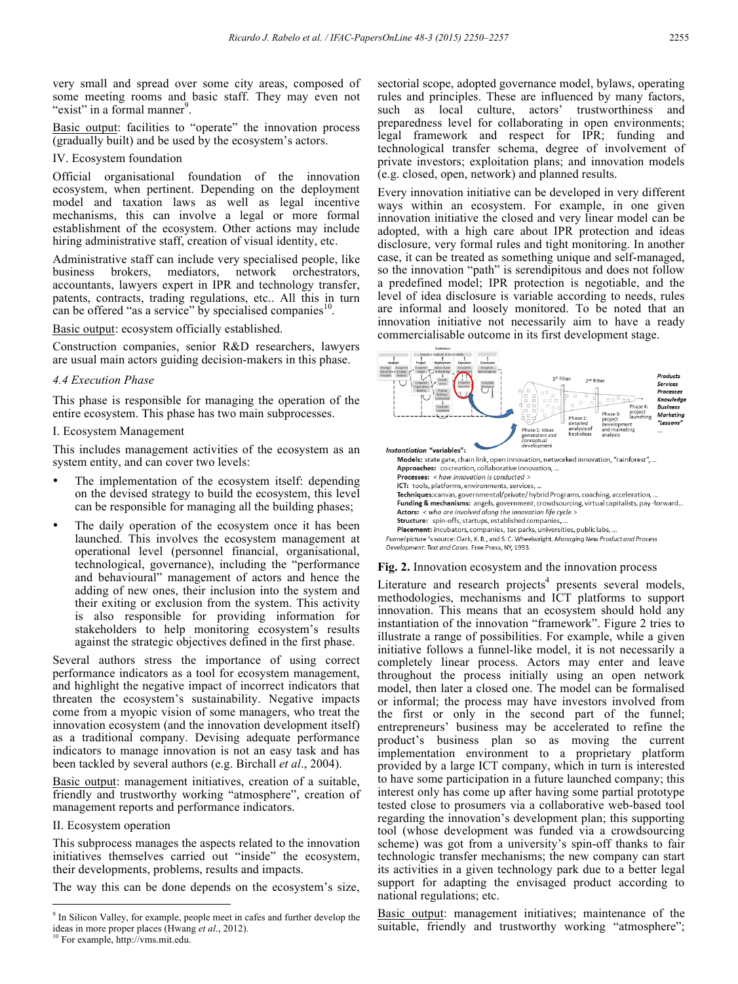very small and spread over some city areas, composed of some meeting rooms and basic staff. They may even not "exist" in a formal manner" .

Basic output: facilities to "operate" the innovation process (gradually built) and be used by the ecosystem's actors.

#### IV. Ecosystem foundation

Official organisational foundation of the innovation ecosystem, when pertinent. Depending on the deployment model and taxation laws as well as legal incentive mechanisms, this can involve a legal or more formal establishment of the ecosystem. Other actions may include hiring administrative staff, creation of visual identity, etc.

Administrative staff can include very specialised people, like business brokers, mediators, network orchestrators, accountants, lawyers expert in IPR and technology transfer, patents, contracts, trading regulations, etc.. All this in turn can be offered "as a service" by specialised companies<sup>11</sup>

Basic output: ecosystem officially established.

Construction companies, senior R&D researchers, lawyers are usual main actors guiding decision-makers in this phase.

### *4.4 Execution Phase*

This phase is responsible for managing the operation of the entire ecosystem. This phase has two main subprocesses.

#### I. Ecosystem Management

This includes management activities of the ecosystem as an system entity, and can cover two levels:

- The implementation of the ecosystem itself: depending on the devised strategy to build the ecosystem, this level can be responsible for managing all the building phases;
- The daily operation of the ecosystem once it has been launched. This involves the ecosystem management at operational level (personnel financial, organisational, technological, governance), including the "performance and behavioural" management of actors and hence the adding of new ones, their inclusion into the system and their exiting or exclusion from the system. This activity is also responsible for providing information for stakeholders to help monitoring ecosystem's results against the strategic objectives defined in the first phase.

Several authors stress the importance of using correct performance indicators as a tool for ecosystem management, and highlight the negative impact of incorrect indicators that threaten the ecosystem's sustainability. Negative impacts come from a myopic vision of some managers, who treat the innovation ecosystem (and the innovation development itself) as a traditional company. Devising adequate performance indicators to manage innovation is not an easy task and has been tackled by several authors (e.g. Birchall *et al*., 2004).

Basic output: management initiatives, creation of a suitable, friendly and trustworthy working "atmosphere", creation of management reports and performance indicators.

# II. Ecosystem operation

 $\overline{a}$ 

This subprocess manages the aspects related to the innovation initiatives themselves carried out "inside" the ecosystem, their developments, problems, results and impacts.

The way this can be done depends on the ecosystem's size,

sectorial scope, adopted governance model, bylaws, operating rules and principles. These are influenced by many factors, such as local culture, actors' trustworthiness and preparedness level for collaborating in open environments; legal framework and respect for IPR; funding and technological transfer schema, degree of involvement of private investors; exploitation plans; and innovation models (e.g. closed, open, network) and planned results.

Every innovation initiative can be developed in very different ways within an ecosystem. For example, in one given innovation initiative the closed and very linear model can be adopted, with a high care about IPR protection and ideas disclosure, very formal rules and tight monitoring. In another case, it can be treated as something unique and self-managed, so the innovation "path" is serendipitous and does not follow a predefined model; IPR protection is negotiable, and the level of idea disclosure is variable according to needs, rules are informal and loosely monitored. To be noted that an innovation initiative not necessarily aim to have a ready commercialisable outcome in its first development stage.

| Cosystem Vyolution & Sostainability<br>Conclusion<br><b>Analysis</b><br>Project<br>Execution<br>Deployment<br>Econstem<br>Econytem<br>Econyten<br>arawie<br>Ecosystem<br><b>Miract Actives</b><br>Metamorphosis<br>Policies & = > Strategic<br>Design<br>& Marketing<br>Analyses<br>Recruit<br>Ecosystem<br>Ecousters<br>Econotem<br>actives.<br>Operation<br>Preparedness<br>Dissolution<br>RubSno<br>Physical<br>Rullding a<br>onstruction<br>Ecosystem<br>Enrindation<br>Instantiation "variables": | 1st filter<br>2 <sup>nd</sup> filter<br>oΩ<br>m<br>г<br>п<br>oo <sup>o</sup><br>000<br>r<br>$\Box$<br>$\Box$<br>o.<br>Ω<br>Phase 4:<br>с<br>project<br>Phase 3:<br>launching<br>Phase 2:<br>project<br>detailed<br>development<br>analysis of<br>and marketing<br>Phase 1: ideas<br>hest ideas<br>analysis<br>generation and<br>conceptual<br>development | <b>Products</b><br><b>Services</b><br>Processes<br>Knowledge<br><b>Business</b><br><b>Marketing</b><br>"Lessons" |
|--------------------------------------------------------------------------------------------------------------------------------------------------------------------------------------------------------------------------------------------------------------------------------------------------------------------------------------------------------------------------------------------------------------------------------------------------------------------------------------------------------|-----------------------------------------------------------------------------------------------------------------------------------------------------------------------------------------------------------------------------------------------------------------------------------------------------------------------------------------------------------|------------------------------------------------------------------------------------------------------------------|
| <b>Models:</b> state gate, chain link, open innovation, networked innovation, "rainforest",                                                                                                                                                                                                                                                                                                                                                                                                            |                                                                                                                                                                                                                                                                                                                                                           |                                                                                                                  |
| Approaches: co-creation, collaborative innovation,                                                                                                                                                                                                                                                                                                                                                                                                                                                     |                                                                                                                                                                                                                                                                                                                                                           |                                                                                                                  |
| <b>Processes:</b> $\langle$ how innovation is conducted $\rangle$                                                                                                                                                                                                                                                                                                                                                                                                                                      |                                                                                                                                                                                                                                                                                                                                                           |                                                                                                                  |
| ICT: tools, platforms, environments, services,                                                                                                                                                                                                                                                                                                                                                                                                                                                         |                                                                                                                                                                                                                                                                                                                                                           |                                                                                                                  |
| Actors: < who are involved along the innovation life cycle >                                                                                                                                                                                                                                                                                                                                                                                                                                           | Techniques: canvas, governmental/private/hybrid Programs, coaching, acceleration,<br>Funding & mechanisms: angels, government, crowdsourcing, virtual capitalists, pay-forward                                                                                                                                                                            |                                                                                                                  |
| <b>Structure:</b> spin-offs, startups, established companies,                                                                                                                                                                                                                                                                                                                                                                                                                                          |                                                                                                                                                                                                                                                                                                                                                           |                                                                                                                  |
|                                                                                                                                                                                                                                                                                                                                                                                                                                                                                                        | Placement: incubators, companies, tec parks, universities, public labs,                                                                                                                                                                                                                                                                                   |                                                                                                                  |
|                                                                                                                                                                                                                                                                                                                                                                                                                                                                                                        | Funnel picture 's source: Clark, K. B., and S. C. Wheelwright. Managing New Product and Process                                                                                                                                                                                                                                                           |                                                                                                                  |
| Development: Text and Cases. Free Press, NY, 1993.                                                                                                                                                                                                                                                                                                                                                                                                                                                     |                                                                                                                                                                                                                                                                                                                                                           |                                                                                                                  |

# **Fig. 2.** Innovation ecosystem and the innovation process

Literature and research projects<sup>4</sup> presents several models, methodologies, mechanisms and ICT platforms to support innovation. This means that an ecosystem should hold any instantiation of the innovation "framework". Figure 2 tries to illustrate a range of possibilities. For example, while a given initiative follows a funnel-like model, it is not necessarily a completely linear process. Actors may enter and leave throughout the process initially using an open network model, then later a closed one. The model can be formalised or informal; the process may have investors involved from the first or only in the second part of the funnel; entrepreneurs' business may be accelerated to refine the product's business plan so as moving the current implementation environment to a proprietary platform provided by a large ICT company, which in turn is interested to have some participation in a future launched company; this interest only has come up after having some partial prototype tested close to prosumers via a collaborative web-based tool regarding the innovation's development plan; this supporting tool (whose development was funded via a crowdsourcing scheme) was got from a university's spin-off thanks to fair technologic transfer mechanisms; the new company can start its activities in a given technology park due to a better legal support for adapting the envisaged product according to national regulations; etc.

Basic output: management initiatives; maintenance of the suitable, friendly and trustworthy working "atmosphere";

<sup>&</sup>lt;sup>9</sup> In Silicon Valley, for example, people meet in cafes and further develop the ideas in more proper places (Hwang *et al*., 2012). 10 For example, http://vms.mit.edu.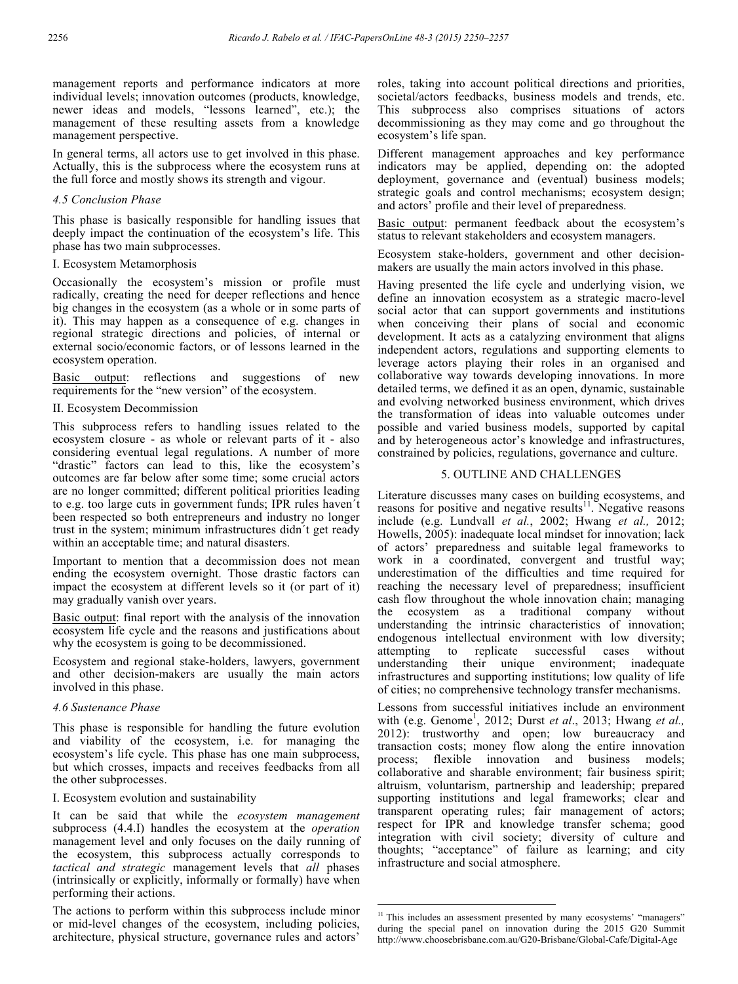management reports and performance indicators at more individual levels; innovation outcomes (products, knowledge, newer ideas and models, "lessons learned", etc.); the management of these resulting assets from a knowledge management perspective.

In general terms, all actors use to get involved in this phase. Actually, this is the subprocess where the ecosystem runs at the full force and mostly shows its strength and vigour.

#### *4.5 Conclusion Phase*

This phase is basically responsible for handling issues that deeply impact the continuation of the ecosystem's life. This phase has two main subprocesses.

### I. Ecosystem Metamorphosis

Occasionally the ecosystem's mission or profile must radically, creating the need for deeper reflections and hence big changes in the ecosystem (as a whole or in some parts of it). This may happen as a consequence of e.g. changes in regional strategic directions and policies, of internal or external socio/economic factors, or of lessons learned in the ecosystem operation.

Basic output: reflections and suggestions of new requirements for the "new version" of the ecosystem.

### II. Ecosystem Decommission

This subprocess refers to handling issues related to the ecosystem closure - as whole or relevant parts of it - also considering eventual legal regulations. A number of more "drastic" factors can lead to this, like the ecosystem's outcomes are far below after some time; some crucial actors are no longer committed; different political priorities leading to e.g. too large cuts in government funds; IPR rules haven´t been respected so both entrepreneurs and industry no longer trust in the system; minimum infrastructures didn´t get ready within an acceptable time; and natural disasters.

Important to mention that a decommission does not mean ending the ecosystem overnight. Those drastic factors can impact the ecosystem at different levels so it (or part of it) may gradually vanish over years.

Basic output: final report with the analysis of the innovation ecosystem life cycle and the reasons and justifications about why the ecosystem is going to be decommissioned.

Ecosystem and regional stake-holders, lawyers, government and other decision-makers are usually the main actors involved in this phase.

#### *4.6 Sustenance Phase*

This phase is responsible for handling the future evolution and viability of the ecosystem, i.e. for managing the ecosystem's life cycle. This phase has one main subprocess, but which crosses, impacts and receives feedbacks from all the other subprocesses.

#### I. Ecosystem evolution and sustainability

It can be said that while the *ecosystem management* subprocess (4.4.I) handles the ecosystem at the *operation* management level and only focuses on the daily running of the ecosystem, this subprocess actually corresponds to *tactical and strategic* management levels that *all* phases (intrinsically or explicitly, informally or formally) have when performing their actions.

The actions to perform within this subprocess include minor or mid-level changes of the ecosystem, including policies, architecture, physical structure, governance rules and actors'

roles, taking into account political directions and priorities, societal/actors feedbacks, business models and trends, etc. This subprocess also comprises situations of actors decommissioning as they may come and go throughout the ecosystem's life span.

Different management approaches and key performance indicators may be applied, depending on: the adopted deployment, governance and (eventual) business models; strategic goals and control mechanisms; ecosystem design; and actors' profile and their level of preparedness.

Basic output: permanent feedback about the ecosystem's status to relevant stakeholders and ecosystem managers.

Ecosystem stake-holders, government and other decisionmakers are usually the main actors involved in this phase.

Having presented the life cycle and underlying vision, we define an innovation ecosystem as a strategic macro-level social actor that can support governments and institutions when conceiving their plans of social and economic development. It acts as a catalyzing environment that aligns independent actors, regulations and supporting elements to leverage actors playing their roles in an organised and collaborative way towards developing innovations. In more detailed terms, we defined it as an open, dynamic, sustainable and evolving networked business environment, which drives the transformation of ideas into valuable outcomes under possible and varied business models, supported by capital and by heterogeneous actor's knowledge and infrastructures, constrained by policies, regulations, governance and culture.

### 5. OUTLINE AND CHALLENGES

Literature discusses many cases on building ecosystems, and reasons for positive and negative results<sup>11</sup>. Negative reasons include (e.g. Lundvall *et al.*, 2002; Hwang *et al.,* 2012; Howells, 2005): inadequate local mindset for innovation; lack of actors' preparedness and suitable legal frameworks to work in a coordinated, convergent and trustful way; underestimation of the difficulties and time required for reaching the necessary level of preparedness; insufficient cash flow throughout the whole innovation chain; managing the ecosystem as a traditional company without understanding the intrinsic characteristics of innovation; endogenous intellectual environment with low diversity; attempting to replicate successful cases without understanding their unique environment; inadequate infrastructures and supporting institutions; low quality of life of cities; no comprehensive technology transfer mechanisms.

Lessons from successful initiatives include an environment with (e.g. Genome<sup>1</sup>, 2012; Durst *et al.*, 2013; Hwang *et al.*, 2012): trustworthy and open; low bureaucracy and transaction costs; money flow along the entire innovation process; flexible innovation and business models; collaborative and sharable environment; fair business spirit; altruism, voluntarism, partnership and leadership; prepared supporting institutions and legal frameworks; clear and transparent operating rules; fair management of actors; respect for IPR and knowledge transfer schema; good integration with civil society; diversity of culture and thoughts; "acceptance" of failure as learning; and city infrastructure and social atmosphere.

-

<sup>&</sup>lt;sup>11</sup> This includes an assessment presented by many ecosystems' "managers" during the special panel on innovation during the 2015 G20 Summit http://www.choosebrisbane.com.au/G20-Brisbane/Global-Cafe/Digital-Age